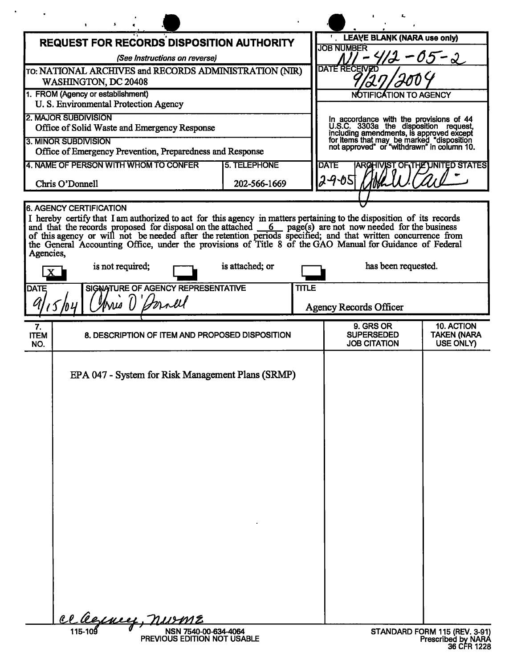|                                                                                                                                                                                                                                                                                                          |                                                                             |                      |                                                                                                                                                                                                                         | ٤.                                                    |                                               |  |
|----------------------------------------------------------------------------------------------------------------------------------------------------------------------------------------------------------------------------------------------------------------------------------------------------------|-----------------------------------------------------------------------------|----------------------|-------------------------------------------------------------------------------------------------------------------------------------------------------------------------------------------------------------------------|-------------------------------------------------------|-----------------------------------------------|--|
| <b>REQUEST FOR RECORDS DISPOSITION AUTHORITY</b>                                                                                                                                                                                                                                                         |                                                                             |                      |                                                                                                                                                                                                                         | . LEAVE BLANK (NARA use only)<br><b>JOB NUMBER</b>    |                                               |  |
| (See Instructions on reverse)                                                                                                                                                                                                                                                                            |                                                                             |                      |                                                                                                                                                                                                                         | $-05 - 2$                                             |                                               |  |
| TO: NATIONAL ARCHIVES and RECORDS ADMINISTRATION (NIR)<br>WASHINGTON, DC 20408                                                                                                                                                                                                                           |                                                                             |                      | <b>DATE RECEIVED</b>                                                                                                                                                                                                    |                                                       |                                               |  |
| 1. FROM (Agency or establishment)                                                                                                                                                                                                                                                                        |                                                                             |                      | <b>TIFICATION TO AGENCY</b>                                                                                                                                                                                             |                                                       |                                               |  |
| U. S. Environmental Protection Agency<br><b>2. MAJOR SUBDIVISION</b>                                                                                                                                                                                                                                     |                                                                             |                      |                                                                                                                                                                                                                         |                                                       |                                               |  |
| Office of Solid Waste and Emergency Response                                                                                                                                                                                                                                                             |                                                                             |                      | In accordance with the provisions of 44<br>U.S.C. 3303a the disposition request,<br>including amendments, is approved except<br>for items that may be marked "disposition<br>not approved" or "withdrawn" in column 10. |                                                       |                                               |  |
| <b>3. MINOR SUBDIVISION</b>                                                                                                                                                                                                                                                                              |                                                                             |                      |                                                                                                                                                                                                                         |                                                       |                                               |  |
| Office of Emergency Prevention, Preparedness and Response                                                                                                                                                                                                                                                |                                                                             |                      |                                                                                                                                                                                                                         |                                                       |                                               |  |
| 4. NAME OF PERSON WITH WHOM TO CONFER<br><b>5. TELEPHONE</b>                                                                                                                                                                                                                                             |                                                                             |                      |                                                                                                                                                                                                                         | <b>DATE</b><br>T OF THE UNITED STATES                 |                                               |  |
| Chris O'Donnell                                                                                                                                                                                                                                                                                          |                                                                             | 2905<br>202-566-1669 |                                                                                                                                                                                                                         |                                                       |                                               |  |
| 6. AGENCY CERTIFICATION                                                                                                                                                                                                                                                                                  |                                                                             |                      |                                                                                                                                                                                                                         |                                                       |                                               |  |
| I hereby certify that I am authorized to act for this agency in matters pertaining to the disposition of its records and that the records proposed for disposal on the attached $6$ page(s) are not now needed for the busine<br>Agencies,<br>is attached; or<br>has been requested.<br>is not required; |                                                                             |                      |                                                                                                                                                                                                                         |                                                       |                                               |  |
|                                                                                                                                                                                                                                                                                                          |                                                                             |                      |                                                                                                                                                                                                                         |                                                       |                                               |  |
| <b>DATE</b>                                                                                                                                                                                                                                                                                              | SIGNATURE OF AGENCY REPRESENTATIVE                                          |                      | <b>TITLE</b>                                                                                                                                                                                                            |                                                       |                                               |  |
| Aris D'Dornel                                                                                                                                                                                                                                                                                            |                                                                             |                      |                                                                                                                                                                                                                         | <b>Agency Records Officer</b>                         |                                               |  |
| 7.<br><b>ITEM</b><br>NO.                                                                                                                                                                                                                                                                                 | 8. DESCRIPTION OF ITEM AND PROPOSED DISPOSITION                             |                      |                                                                                                                                                                                                                         | 9. GRS OR<br><b>SUPERSEDED</b><br><b>JOB CITATION</b> | 10. ACTION<br><b>TAKEN (NARA</b><br>USE ONLY) |  |
|                                                                                                                                                                                                                                                                                                          | EPA 047 - System for Risk Management Plans (SRMP)<br><u>cl legeney, nur</u> |                      |                                                                                                                                                                                                                         |                                                       |                                               |  |
|                                                                                                                                                                                                                                                                                                          | 115-109<br>NSN 7540-00-634-4064                                             |                      |                                                                                                                                                                                                                         |                                                       | STANDARD FORM 115 (REV. 3-91)                 |  |

 $\sim$   $\bullet$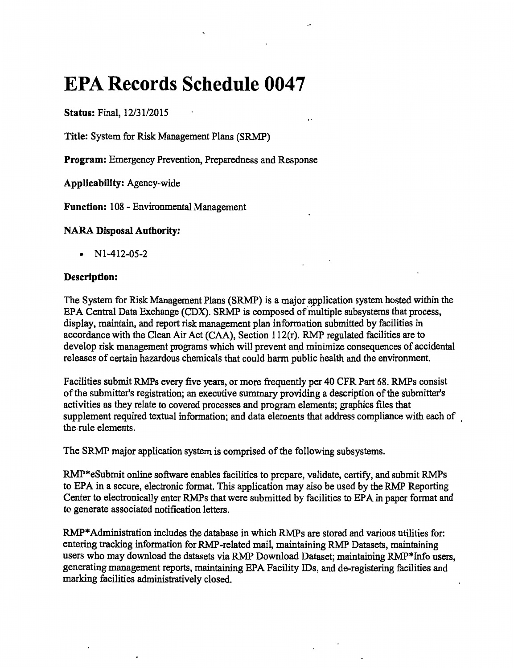# **EPA Records Schedule 0047**

Status: Final, 12/31/2015

Title: System for Risk Management Plans (SRMP)

Program: Emergency Prevention, Preparedness and Response

Applicability: Agency-wide

Function: 108 - Environmental Management

## NARA Disposal Authority:

• Nl-412-05-2

## Description:

The System for Risk Management Plans (SRMP) is a major application system hosted within the EPA Central Data Exchange (CDX). SRMP is composed of multiple subsystems that process, display, maintain, and report risk management plan information submitted by facilities in accordance with the Clean Air Act (CAA), Section 112(r). RMP regulated facilities are to develop risk management programs which will prevent and minimize consequences of accidental releases of certain hazardous chemicals that could harm public health and the environment.

Facilities submit RMPs every five years, or more frequently per 40 CFR Part 68. RMPs consist of the submitter's registration; an executive summary providing a description of the submitter's activities as they relate to covered processes and program elements; graphics files that supplement required textual information; and data elements that address compliance with each of the-rule elements.

The SRMP major application system is comprised of the following subsystems.

RMP\*eSubmit online software enables facilities to prepare, validate, certify, and submit RMPs to EPA in a secure, electronic format. This application may also be used by the RMP Reporting Center to electronically enter RMPs that were submitted by facilities to EPA in paper format and to generate associated notification letters.

RMP\* Administration includes the database in which RMPs are stored and various utilities for: entering tracking information for RMP-related mail, maintaining RMP Datasets, maintaining users who may download the datasets via RMP Download Dataset; maintaining RMP\*Info users, generating management reports, maintaining EPA Facility IDs, and de-registering facilities and marking facilities administratively closed.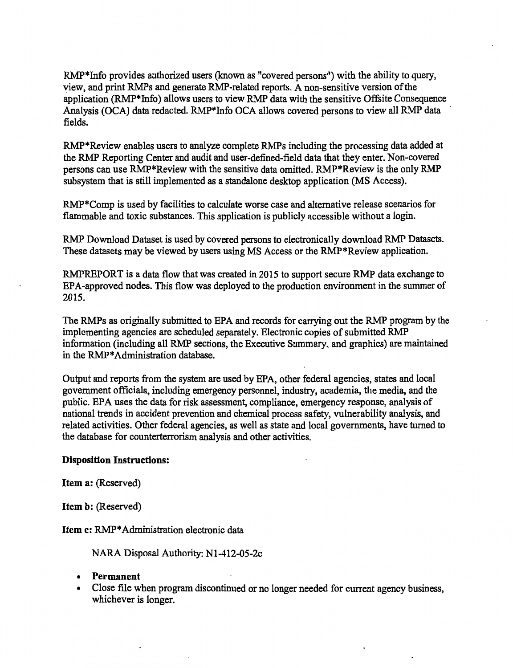RMP\*Info provides authorized users (known as "covered persons") with the ability to query, view, and print RMPs and generate RMP-related reports. A non-sensitive version of the application (RMP\*Info) allows users to view RMP data with the sensitive Offsite Consequence Analysis (OCA) data redacted. RMP\*lnfo OCA allows covered persons to view all RMP data fields.

RMP\*Review enables users to analyze complete RMPs including the processing data added at the RMP Reporting Center and audit and user-defined-field data that they enter. Non-covered persons can use RMP\*Review with the sensitive data omitted. RMP\*Review is the only RMP subsystem that is still implemented as a standalone desktop application (MS Access).

RMP\*Comp is used by facilities to calculate worse case and alternative release scenarios for flammable and toxic substances. This application is publicly accessible without a login.

RMP Download Dataset is used by covered persons to electronically download RMP Datasets. These datasets may be viewed by users using MS Access or the RMP\*Review application.

RMPREPORT is a data flow that was created in 2015 to support secure RMP data exchange to EPA-approved nodes. This flow was deployed to the production environment in the summer of 2015.

The RMPs as originally submitted to EPA and records for carrying out the RMP program by the implementing agencies are scheduled separately. Electronic copies of submitted RMP information (including all RMP sections, the Executive Summary, and graphics) are maintained in the RMP\* Administration database.

Output and reports from the system are used by EPA, other federal agencies, states and local government officials, including emergency personnel, industry, academia, the media, and the public. EPA uses the data for risk assessment, compliance, emergency response, analysis of national trends in accident prevention and chemical process safety, vulnerability analysis, and related activities. Other federal agencies, as well as state and local governments, have turned to the database for counterterrorism analysis and other activities.

#### Disposition Instructions:

Item a: (Reserved)

Item b: (Reserved)

Item c: RMP\* Administration electronic data

NARA Disposal Authority: Nl-412-05-2c

- Permanent
- Close file when program discontinued or no longer needed for current agency business, whichever is longer.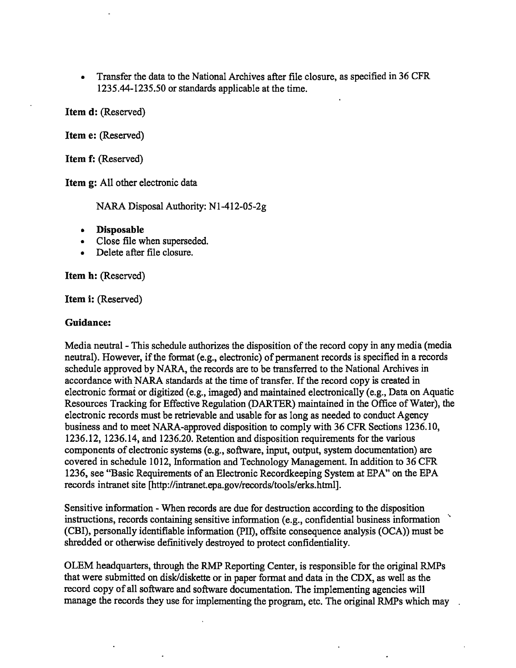• Transfer the data to the National Archives after file closure, as specified in 36 CFR 1235.44-1235.50 or standards applicable at the time.

Item d: (Reserved)

Item e: (Reserved)

Item f: (Reserved)

Item g: All other electronic data

NARA Disposal Authority: Nl-412-05-2g

- Disposable
- Close file when superseded.
- Delete after file closure.

Item h: (Reserved)

Item i: (Reserved)

#### Guidance:

Media neutral -This schedule authorizes the disposition of the record copy in any media (media neutral). However, if the format (e.g., electronic) of permanent records is specified in a records schedule approved by NARA, the records are to be transferred to the National Archives in accordance with NARA standards at the time of transfer. If the record copy is created in electronic format or digitized (e.g., imaged) and maintained electronically (e.g., Data on Aquatic Resources Tracking for Effective Regulation (DARTER) maintained in the Office of Water), the electronic records must be retrievable and usable for as long as needed to conduct Agency business and to meet NARA-approved disposition to comply with 36 CFR Sections 1236.10, 1236.12, 1236.14, and 1236.20. Retention and disposition requirements for the various components of electronic systems (e.g., software, input, output, system documentation) are covered in schedule 1012, Information and Technology Management. In addition to 36 CFR 1236, see "Basic Requirements of an Electronic Recordkeeping System at EPA" on the EPA records intranet site [http://intranet.epa.gov/records/tools/erks.html].

Sensitive information - When records are due for destruction according to the disposition instructions, records containing sensitive information (e.g., confidential business information (CBI), personally identifiable information (PII), offsite consequence analysis (OCA)) must be shredded or otherwise definitively destroyed to protect confidentiality.

OLEM headquarters, through the RMP Reporting Center, is responsible for the original RMPs that were submitted on disk/diskette or in paper format and data in the CDX, as well as the record copy of all software and software documentation. The implementing agencies will manage the records they use for implementing the program, etc. The original RMPs which may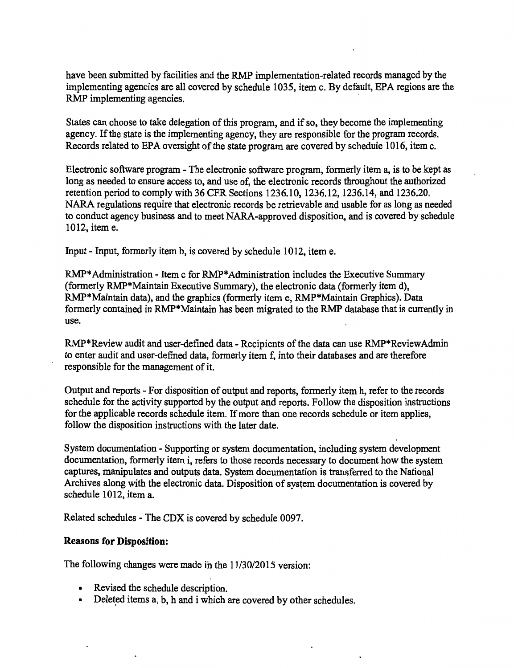have been submitted by facilities and the RMP implementation-related records managed by the implementing agencies are all covered by schedule 1035, item c. By default, EPA regions are the RMP implementing agencies.

States can choose to take delegation of this program, and if so, they become the implementing agency. If the state is the implementing agency, they are responsible for the program records. Records related to EPA oversight of the state program are covered by schedule 1016, item c.

Electronic software program - The electronic software program, formerly item a, is to be kept as long as needed to ensure access to, and use of, the electronic records throughout the authorized retention period to comply with 36 CFR Sections 1236.10, 1236.12, 1236.14, and 1236.20. NARA regulations require that electronic records be retrievable and usable for as long as needed to conduct agency business and to meet NARA-approved disposition, and is covered by schedule 1012, item e.

Input - Input, formerly item b, is covered by schedule 1012, item e.

RMP\* Administration - Item c for RMP\* Administration includes the Executive Summary (formerly RMP\*Maintain Executive Summary), the electronic data (formerly item d), RMP\*Maintain data), and the graphics (formerly item e, RMP\*Maintain Graphics). Data formerly contained in RMP\*Maintain has been migrated to the RMP database that is currently in use.

RMP\*Review audit and user-defined data - Recipients of the data can use RMP\*ReviewAdmin to enter audit and user-defined data, formerly item f, into their databases and are therefore responsible for the management of it.

Output and reports - For disposition of output and reports, formerly item h, refer to the records schedule for the activity supported by the output and reports. Follow the disposition instructions for the applicable records schedule item. If more than one records schedule or item applies, follow the disposition instructions with the later date.

System documentation - Supporting or system documentation, including system development documentation, formerly item i, refers to those records necessary to document how the system captures, manipulates and outputs data. System documentation is transferred to the National Archives along with the electronic data. Disposition of system documentation is covered by schedule 1012, item a.

Related schedules - The CDX is covered by schedule 0097.

## Reasons for Disposition:

The following changes were made in the 11/30/2015 version:

- Revised the schedule description.
- Deleted items a, b, h and i which are covered by other schedules.